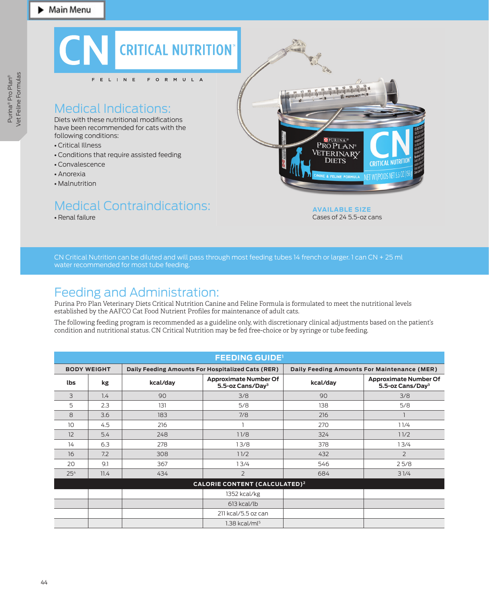

CN Critical Nutrition can be diluted and will pass through most feeding tubes 14 french or larger. 1 can CN + 25 ml water recommended for most tube feeding.

## Feeding and Administration:

Purina Pro Plan Veterinary Diets Critical Nutrition Canine and Feline Formula is formulated to meet the nutritional levels established by the AAFCO Cat Food Nutrient Profiles for maintenance of adult cats.

The following feeding program is recommended as a guideline only, with discretionary clinical adjustments based on the patient's condition and nutritional status. CN Critical Nutrition may be fed free-choice or by syringe or tube feeding.

| <b>FEEDING GUIDE'</b>                           |      |                                                   |                                                              |                                             |                                                              |  |  |  |
|-------------------------------------------------|------|---------------------------------------------------|--------------------------------------------------------------|---------------------------------------------|--------------------------------------------------------------|--|--|--|
| <b>BODY WEIGHT</b>                              |      | Daily Feeding Amounts For Hospitalized Cats (RER) |                                                              | Daily Feeding Amounts For Maintenance (MER) |                                                              |  |  |  |
| lbs                                             | kg   | kcal/day                                          | <b>Approximate Number Of</b><br>5.5-oz Cans/Day <sup>3</sup> | kcal/day                                    | <b>Approximate Number Of</b><br>5.5-oz Cans/Day <sup>3</sup> |  |  |  |
| 3                                               | 1.4  | 90                                                | 3/8                                                          | 90                                          | 3/8                                                          |  |  |  |
| 5                                               | 2.3  | 131                                               | 5/8                                                          | 138                                         | 5/8                                                          |  |  |  |
| 8                                               | 3.6  | 183                                               | 7/8                                                          | 216                                         |                                                              |  |  |  |
| 10                                              | 4.5  | 216                                               |                                                              | 270                                         | 11/4                                                         |  |  |  |
| 12                                              | 5.4  | 248                                               | 11/8                                                         | 324                                         | 11/2                                                         |  |  |  |
| 14                                              | 6.3  | 278                                               | 13/8                                                         | 378                                         | 13/4                                                         |  |  |  |
| 16                                              | 7.2  | 308                                               | 11/2                                                         | 432                                         | 2                                                            |  |  |  |
| 20                                              | 9.1  | 367                                               | 13/4                                                         | 546                                         | 25/8                                                         |  |  |  |
| 25 <sup>4</sup>                                 | 11.4 | 434                                               | $\overline{2}$                                               | 684                                         | 31/4                                                         |  |  |  |
| <b>CALORIE CONTENT (CALCULATED)<sup>2</sup></b> |      |                                                   |                                                              |                                             |                                                              |  |  |  |
|                                                 |      |                                                   | 1352 kcal/kg                                                 |                                             |                                                              |  |  |  |
|                                                 |      |                                                   | $613$ kcal/lb                                                |                                             |                                                              |  |  |  |
|                                                 |      |                                                   | 211 kcal/5.5 oz can                                          |                                             |                                                              |  |  |  |
|                                                 |      |                                                   | $1.38$ kcal/m $\mathsf{I}^5$                                 |                                             |                                                              |  |  |  |